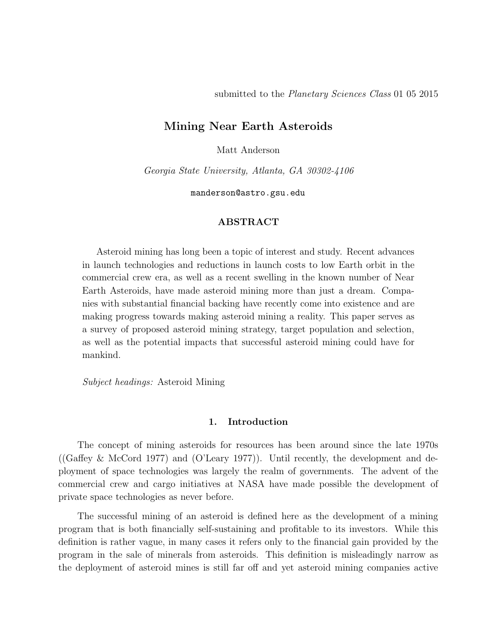# Mining Near Earth Asteroids

Matt Anderson

Georgia State University, Atlanta, GA 30302-4106

manderson@astro.gsu.edu

# ABSTRACT

Asteroid mining has long been a topic of interest and study. Recent advances in launch technologies and reductions in launch costs to low Earth orbit in the commercial crew era, as well as a recent swelling in the known number of Near Earth Asteroids, have made asteroid mining more than just a dream. Companies with substantial financial backing have recently come into existence and are making progress towards making asteroid mining a reality. This paper serves as a survey of proposed asteroid mining strategy, target population and selection, as well as the potential impacts that successful asteroid mining could have for mankind.

Subject headings: Asteroid Mining

# 1. Introduction

The concept of mining asteroids for resources has been around since the late 1970s ((Gaffey  $\&$  McCord 1977) and (O'Leary 1977)). Until recently, the development and deployment of space technologies was largely the realm of governments. The advent of the commercial crew and cargo initiatives at NASA have made possible the development of private space technologies as never before.

The successful mining of an asteroid is defined here as the development of a mining program that is both financially self-sustaining and profitable to its investors. While this definition is rather vague, in many cases it refers only to the financial gain provided by the program in the sale of minerals from asteroids. This definition is misleadingly narrow as the deployment of asteroid mines is still far off and yet asteroid mining companies active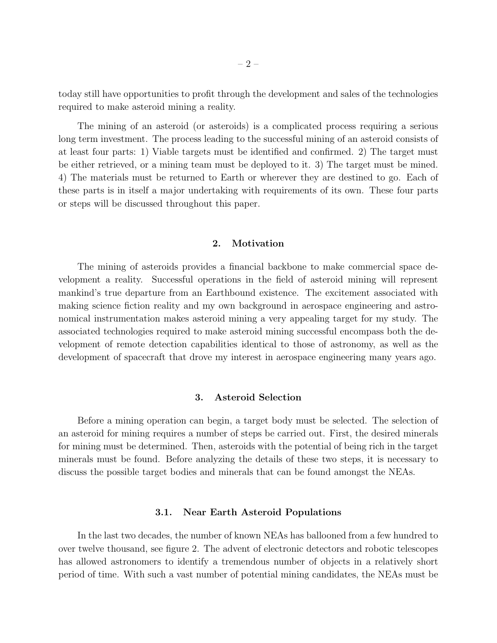today still have opportunities to profit through the development and sales of the technologies required to make asteroid mining a reality.

The mining of an asteroid (or asteroids) is a complicated process requiring a serious long term investment. The process leading to the successful mining of an asteroid consists of at least four parts: 1) Viable targets must be identified and confirmed. 2) The target must be either retrieved, or a mining team must be deployed to it. 3) The target must be mined. 4) The materials must be returned to Earth or wherever they are destined to go. Each of these parts is in itself a major undertaking with requirements of its own. These four parts or steps will be discussed throughout this paper.

# 2. Motivation

The mining of asteroids provides a financial backbone to make commercial space development a reality. Successful operations in the field of asteroid mining will represent mankind's true departure from an Earthbound existence. The excitement associated with making science fiction reality and my own background in aerospace engineering and astronomical instrumentation makes asteroid mining a very appealing target for my study. The associated technologies required to make asteroid mining successful encompass both the development of remote detection capabilities identical to those of astronomy, as well as the development of spacecraft that drove my interest in aerospace engineering many years ago.

# 3. Asteroid Selection

Before a mining operation can begin, a target body must be selected. The selection of an asteroid for mining requires a number of steps be carried out. First, the desired minerals for mining must be determined. Then, asteroids with the potential of being rich in the target minerals must be found. Before analyzing the details of these two steps, it is necessary to discuss the possible target bodies and minerals that can be found amongst the NEAs.

## 3.1. Near Earth Asteroid Populations

In the last two decades, the number of known NEAs has ballooned from a few hundred to over twelve thousand, see figure 2. The advent of electronic detectors and robotic telescopes has allowed astronomers to identify a tremendous number of objects in a relatively short period of time. With such a vast number of potential mining candidates, the NEAs must be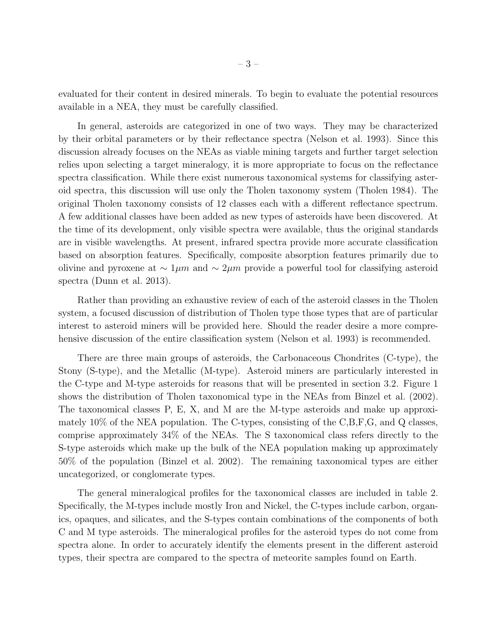evaluated for their content in desired minerals. To begin to evaluate the potential resources available in a NEA, they must be carefully classified.

In general, asteroids are categorized in one of two ways. They may be characterized by their orbital parameters or by their reflectance spectra (Nelson et al. 1993). Since this discussion already focuses on the NEAs as viable mining targets and further target selection relies upon selecting a target mineralogy, it is more appropriate to focus on the reflectance spectra classification. While there exist numerous taxonomical systems for classifying asteroid spectra, this discussion will use only the Tholen taxonomy system (Tholen 1984). The original Tholen taxonomy consists of 12 classes each with a different reflectance spectrum. A few additional classes have been added as new types of asteroids have been discovered. At the time of its development, only visible spectra were available, thus the original standards are in visible wavelengths. At present, infrared spectra provide more accurate classification based on absorption features. Specifically, composite absorption features primarily due to olivine and pyroxene at  $\sim 1 \mu m$  and  $\sim 2 \mu m$  provide a powerful tool for classifying asteroid spectra (Dunn et al. 2013).

Rather than providing an exhaustive review of each of the asteroid classes in the Tholen system, a focused discussion of distribution of Tholen type those types that are of particular interest to asteroid miners will be provided here. Should the reader desire a more comprehensive discussion of the entire classification system (Nelson et al. 1993) is recommended.

There are three main groups of asteroids, the Carbonaceous Chondrites (C-type), the Stony (S-type), and the Metallic (M-type). Asteroid miners are particularly interested in the C-type and M-type asteroids for reasons that will be presented in section 3.2. Figure 1 shows the distribution of Tholen taxonomical type in the NEAs from Binzel et al. (2002). The taxonomical classes P, E, X, and M are the M-type asteroids and make up approximately 10% of the NEA population. The C-types, consisting of the C,B,F,G, and Q classes, comprise approximately 34% of the NEAs. The S taxonomical class refers directly to the S-type asteroids which make up the bulk of the NEA population making up approximately 50% of the population (Binzel et al. 2002). The remaining taxonomical types are either uncategorized, or conglomerate types.

The general mineralogical profiles for the taxonomical classes are included in table 2. Specifically, the M-types include mostly Iron and Nickel, the C-types include carbon, organics, opaques, and silicates, and the S-types contain combinations of the components of both C and M type asteroids. The mineralogical profiles for the asteroid types do not come from spectra alone. In order to accurately identify the elements present in the different asteroid types, their spectra are compared to the spectra of meteorite samples found on Earth.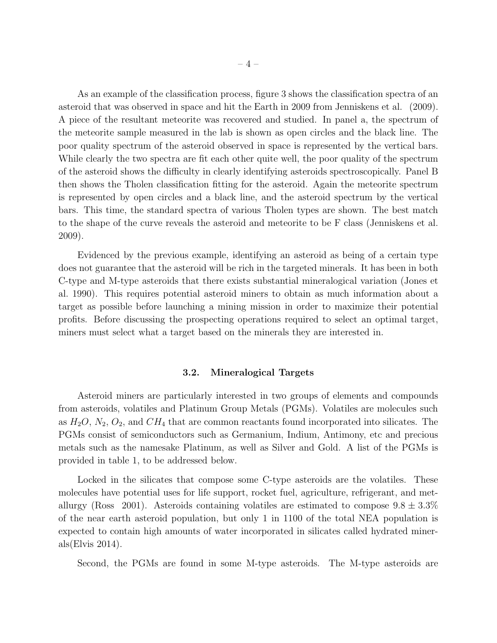As an example of the classification process, figure 3 shows the classification spectra of an asteroid that was observed in space and hit the Earth in 2009 from Jenniskens et al. (2009). A piece of the resultant meteorite was recovered and studied. In panel a, the spectrum of the meteorite sample measured in the lab is shown as open circles and the black line. The poor quality spectrum of the asteroid observed in space is represented by the vertical bars. While clearly the two spectra are fit each other quite well, the poor quality of the spectrum of the asteroid shows the difficulty in clearly identifying asteroids spectroscopically. Panel B then shows the Tholen classification fitting for the asteroid. Again the meteorite spectrum is represented by open circles and a black line, and the asteroid spectrum by the vertical bars. This time, the standard spectra of various Tholen types are shown. The best match to the shape of the curve reveals the asteroid and meteorite to be F class (Jenniskens et al. 2009).

Evidenced by the previous example, identifying an asteroid as being of a certain type does not guarantee that the asteroid will be rich in the targeted minerals. It has been in both C-type and M-type asteroids that there exists substantial mineralogical variation (Jones et al. 1990). This requires potential asteroid miners to obtain as much information about a target as possible before launching a mining mission in order to maximize their potential profits. Before discussing the prospecting operations required to select an optimal target, miners must select what a target based on the minerals they are interested in.

## 3.2. Mineralogical Targets

Asteroid miners are particularly interested in two groups of elements and compounds from asteroids, volatiles and Platinum Group Metals (PGMs). Volatiles are molecules such as  $H_2O$ ,  $N_2$ ,  $O_2$ , and  $CH_4$  that are common reactants found incorporated into silicates. The PGMs consist of semiconductors such as Germanium, Indium, Antimony, etc and precious metals such as the namesake Platinum, as well as Silver and Gold. A list of the PGMs is provided in table 1, to be addressed below.

Locked in the silicates that compose some C-type asteroids are the volatiles. These molecules have potential uses for life support, rocket fuel, agriculture, refrigerant, and metallurgy (Ross 2001). Asteroids containing volatiles are estimated to compose  $9.8 \pm 3.3\%$ of the near earth asteroid population, but only 1 in 1100 of the total NEA population is expected to contain high amounts of water incorporated in silicates called hydrated minerals(Elvis 2014).

Second, the PGMs are found in some M-type asteroids. The M-type asteroids are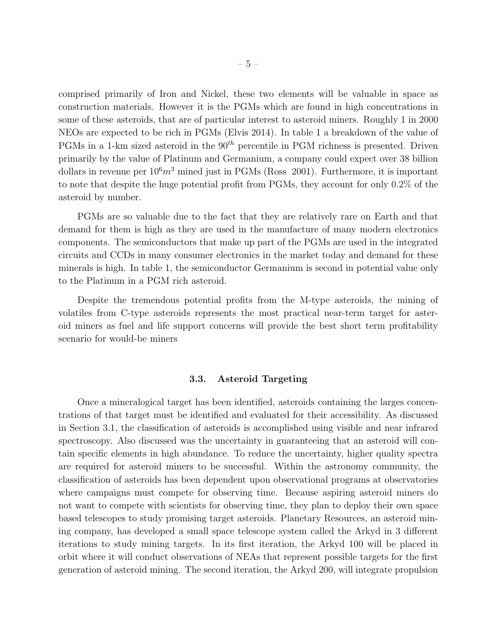comprised primarily of Iron and Nickel, these two elements will be valuable in space as construction materials. However it is the PGMs which are found in high concentrations in some of these asteroids, that are of particular interest to asteroid miners. Roughly 1 in 2000 NEOs are expected to be rich in PGMs (Elvis 2014). In table 1 a breakdown of the value of PGMs in a 1-km sized asteroid in the  $90<sup>th</sup>$  percentile in PGM richness is presented. Driven primarily by the value of Platinum and Germanium, a company could expect over 38 billion dollars in revenue per  $10<sup>6</sup>m<sup>3</sup>$  mined just in PGMs (Ross 2001). Furthermore, it is important to note that despite the huge potential profit from PGMs, they account for only 0.2% of the asteroid by number.

PGMs are so valuable due to the fact that they are relatively rare on Earth and that demand for them is high as they are used in the manufacture of many modern electronics components. The semiconductors that make up part of the PGMs are used in the integrated circuits and CCDs in many consumer electronics in the market today and demand for these minerals is high. In table 1, the semiconductor Germanium is second in potential value only to the Platinum in a PGM rich asteroid.

Despite the tremendous potential profits from the M-type asteroids, the mining of volatiles from C-type asteroids represents the most practical near-term target for asteroid miners as fuel and life support concerns will provide the best short term profitability scenario for would-be miners

#### 3.3. Asteroid Targeting

Once a mineralogical target has been identified, asteroids containing the larges concentrations of that target must be identified and evaluated for their accessibility. As discussed in Section 3.1, the classification of asteroids is accomplished using visible and near infrared spectroscopy. Also discussed was the uncertainty in guaranteeing that an asteroid will contain specific elements in high abundance. To reduce the uncertainty, higher quality spectra are required for asteroid miners to be successful. Within the astronomy community, the classification of asteroids has been dependent upon observational programs at observatories where campaigns must compete for observing time. Because aspiring asteroid miners do not want to compete with scientists for observing time, they plan to deploy their own space based telescopes to study promising target asteroids. Planetary Resources, an asteroid mining company, has developed a small space telescope system called the Arkyd in 3 different iterations to study mining targets. In its first iteration, the Arkyd 100 will be placed in orbit where it will conduct observations of NEAs that represent possible targets for the first generation of asteroid mining. The second iteration, the Arkyd 200, will integrate propulsion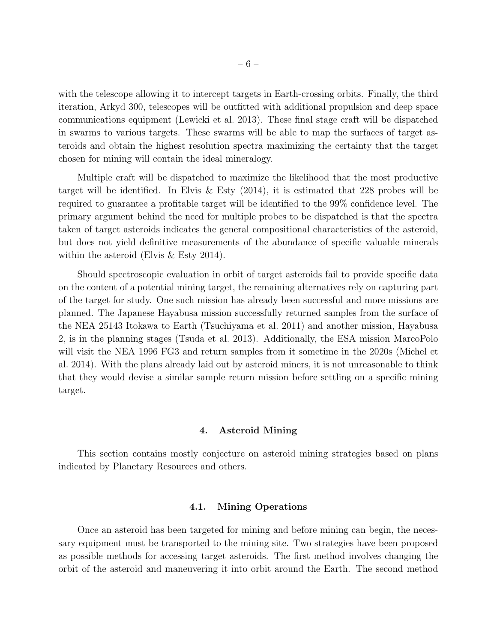with the telescope allowing it to intercept targets in Earth-crossing orbits. Finally, the third iteration, Arkyd 300, telescopes will be outfitted with additional propulsion and deep space communications equipment (Lewicki et al. 2013). These final stage craft will be dispatched in swarms to various targets. These swarms will be able to map the surfaces of target asteroids and obtain the highest resolution spectra maximizing the certainty that the target chosen for mining will contain the ideal mineralogy.

Multiple craft will be dispatched to maximize the likelihood that the most productive target will be identified. In Elvis & Esty (2014), it is estimated that 228 probes will be required to guarantee a profitable target will be identified to the 99% confidence level. The primary argument behind the need for multiple probes to be dispatched is that the spectra taken of target asteroids indicates the general compositional characteristics of the asteroid, but does not yield definitive measurements of the abundance of specific valuable minerals within the asteroid (Elvis & Esty 2014).

Should spectroscopic evaluation in orbit of target asteroids fail to provide specific data on the content of a potential mining target, the remaining alternatives rely on capturing part of the target for study. One such mission has already been successful and more missions are planned. The Japanese Hayabusa mission successfully returned samples from the surface of the NEA 25143 Itokawa to Earth (Tsuchiyama et al. 2011) and another mission, Hayabusa 2, is in the planning stages (Tsuda et al. 2013). Additionally, the ESA mission MarcoPolo will visit the NEA 1996 FG3 and return samples from it sometime in the 2020s (Michel et al. 2014). With the plans already laid out by asteroid miners, it is not unreasonable to think that they would devise a similar sample return mission before settling on a specific mining target.

# 4. Asteroid Mining

This section contains mostly conjecture on asteroid mining strategies based on plans indicated by Planetary Resources and others.

# 4.1. Mining Operations

Once an asteroid has been targeted for mining and before mining can begin, the necessary equipment must be transported to the mining site. Two strategies have been proposed as possible methods for accessing target asteroids. The first method involves changing the orbit of the asteroid and maneuvering it into orbit around the Earth. The second method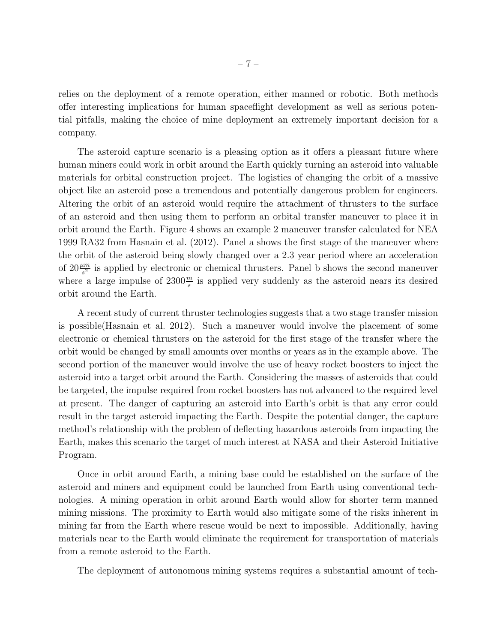relies on the deployment of a remote operation, either manned or robotic. Both methods offer interesting implications for human spaceflight development as well as serious potential pitfalls, making the choice of mine deployment an extremely important decision for a company.

The asteroid capture scenario is a pleasing option as it offers a pleasant future where human miners could work in orbit around the Earth quickly turning an asteroid into valuable materials for orbital construction project. The logistics of changing the orbit of a massive object like an asteroid pose a tremendous and potentially dangerous problem for engineers. Altering the orbit of an asteroid would require the attachment of thrusters to the surface of an asteroid and then using them to perform an orbital transfer maneuver to place it in orbit around the Earth. Figure 4 shows an example 2 maneuver transfer calculated for NEA 1999 RA32 from Hasnain et al. (2012). Panel a shows the first stage of the maneuver where the orbit of the asteroid being slowly changed over a 2.3 year period where an acceleration of  $20\frac{\mu m}{s^2}$  is applied by electronic or chemical thrusters. Panel b shows the second maneuver where a large impulse of  $2300\frac{m}{s}$  is applied very suddenly as the asteroid nears its desired orbit around the Earth.

A recent study of current thruster technologies suggests that a two stage transfer mission is possible(Hasnain et al. 2012). Such a maneuver would involve the placement of some electronic or chemical thrusters on the asteroid for the first stage of the transfer where the orbit would be changed by small amounts over months or years as in the example above. The second portion of the maneuver would involve the use of heavy rocket boosters to inject the asteroid into a target orbit around the Earth. Considering the masses of asteroids that could be targeted, the impulse required from rocket boosters has not advanced to the required level at present. The danger of capturing an asteroid into Earth's orbit is that any error could result in the target asteroid impacting the Earth. Despite the potential danger, the capture method's relationship with the problem of deflecting hazardous asteroids from impacting the Earth, makes this scenario the target of much interest at NASA and their Asteroid Initiative Program.

Once in orbit around Earth, a mining base could be established on the surface of the asteroid and miners and equipment could be launched from Earth using conventional technologies. A mining operation in orbit around Earth would allow for shorter term manned mining missions. The proximity to Earth would also mitigate some of the risks inherent in mining far from the Earth where rescue would be next to impossible. Additionally, having materials near to the Earth would eliminate the requirement for transportation of materials from a remote asteroid to the Earth.

The deployment of autonomous mining systems requires a substantial amount of tech-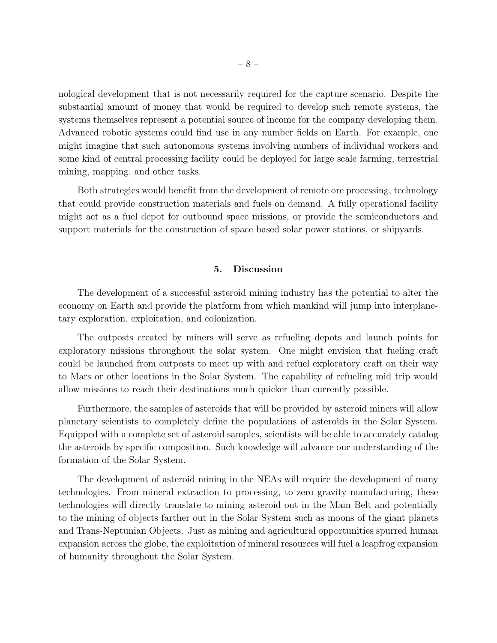nological development that is not necessarily required for the capture scenario. Despite the substantial amount of money that would be required to develop such remote systems, the systems themselves represent a potential source of income for the company developing them. Advanced robotic systems could find use in any number fields on Earth. For example, one might imagine that such autonomous systems involving numbers of individual workers and some kind of central processing facility could be deployed for large scale farming, terrestrial mining, mapping, and other tasks.

Both strategies would benefit from the development of remote ore processing, technology that could provide construction materials and fuels on demand. A fully operational facility might act as a fuel depot for outbound space missions, or provide the semiconductors and support materials for the construction of space based solar power stations, or shipyards.

# 5. Discussion

The development of a successful asteroid mining industry has the potential to alter the economy on Earth and provide the platform from which mankind will jump into interplanetary exploration, exploitation, and colonization.

The outposts created by miners will serve as refueling depots and launch points for exploratory missions throughout the solar system. One might envision that fueling craft could be launched from outposts to meet up with and refuel exploratory craft on their way to Mars or other locations in the Solar System. The capability of refueling mid trip would allow missions to reach their destinations much quicker than currently possible.

Furthermore, the samples of asteroids that will be provided by asteroid miners will allow planetary scientists to completely define the populations of asteroids in the Solar System. Equipped with a complete set of asteroid samples, scientists will be able to accurately catalog the asteroids by specific composition. Such knowledge will advance our understanding of the formation of the Solar System.

The development of asteroid mining in the NEAs will require the development of many technologies. From mineral extraction to processing, to zero gravity manufacturing, these technologies will directly translate to mining asteroid out in the Main Belt and potentially to the mining of objects farther out in the Solar System such as moons of the giant planets and Trans-Neptunian Objects. Just as mining and agricultural opportunities spurred human expansion across the globe, the exploitation of mineral resources will fuel a leapfrog expansion of humanity throughout the Solar System.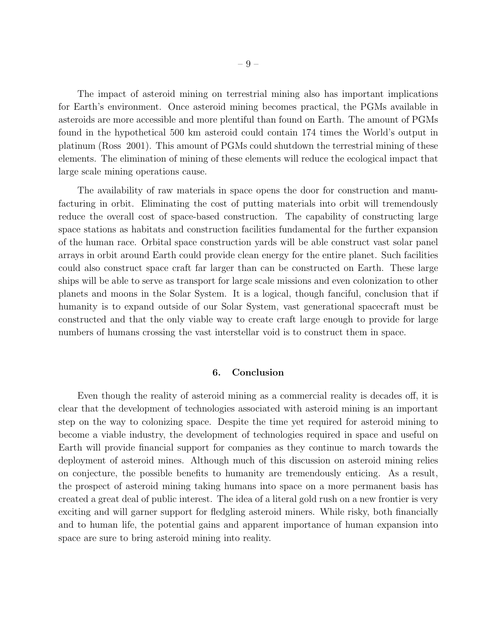The impact of asteroid mining on terrestrial mining also has important implications for Earth's environment. Once asteroid mining becomes practical, the PGMs available in asteroids are more accessible and more plentiful than found on Earth. The amount of PGMs found in the hypothetical 500 km asteroid could contain 174 times the World's output in platinum (Ross 2001). This amount of PGMs could shutdown the terrestrial mining of these elements. The elimination of mining of these elements will reduce the ecological impact that large scale mining operations cause.

The availability of raw materials in space opens the door for construction and manufacturing in orbit. Eliminating the cost of putting materials into orbit will tremendously reduce the overall cost of space-based construction. The capability of constructing large space stations as habitats and construction facilities fundamental for the further expansion of the human race. Orbital space construction yards will be able construct vast solar panel arrays in orbit around Earth could provide clean energy for the entire planet. Such facilities could also construct space craft far larger than can be constructed on Earth. These large ships will be able to serve as transport for large scale missions and even colonization to other planets and moons in the Solar System. It is a logical, though fanciful, conclusion that if humanity is to expand outside of our Solar System, vast generational spacecraft must be constructed and that the only viable way to create craft large enough to provide for large numbers of humans crossing the vast interstellar void is to construct them in space.

## 6. Conclusion

Even though the reality of asteroid mining as a commercial reality is decades off, it is clear that the development of technologies associated with asteroid mining is an important step on the way to colonizing space. Despite the time yet required for asteroid mining to become a viable industry, the development of technologies required in space and useful on Earth will provide financial support for companies as they continue to march towards the deployment of asteroid mines. Although much of this discussion on asteroid mining relies on conjecture, the possible benefits to humanity are tremendously enticing. As a result, the prospect of asteroid mining taking humans into space on a more permanent basis has created a great deal of public interest. The idea of a literal gold rush on a new frontier is very exciting and will garner support for fledgling asteroid miners. While risky, both financially and to human life, the potential gains and apparent importance of human expansion into space are sure to bring asteroid mining into reality.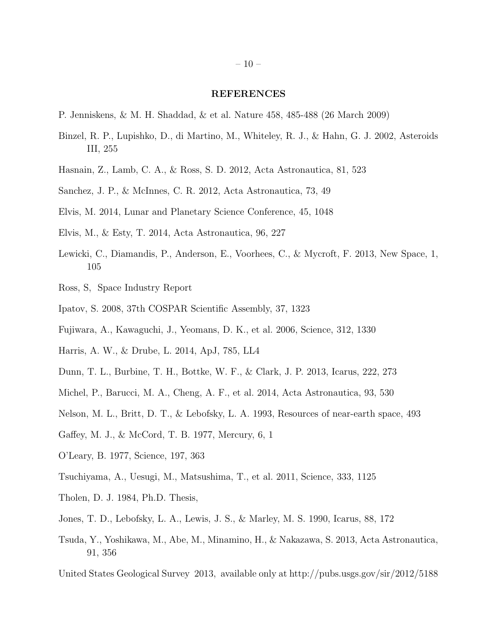#### REFERENCES

- P. Jenniskens, & M. H. Shaddad, & et al. Nature 458, 485-488 (26 March 2009)
- Binzel, R. P., Lupishko, D., di Martino, M., Whiteley, R. J., & Hahn, G. J. 2002, Asteroids III, 255
- Hasnain, Z., Lamb, C. A., & Ross, S. D. 2012, Acta Astronautica, 81, 523
- Sanchez, J. P., & McInnes, C. R. 2012, Acta Astronautica, 73, 49
- Elvis, M. 2014, Lunar and Planetary Science Conference, 45, 1048
- Elvis, M., & Esty, T. 2014, Acta Astronautica, 96, 227
- Lewicki, C., Diamandis, P., Anderson, E., Voorhees, C., & Mycroft, F. 2013, New Space, 1, 105
- Ross, S, Space Industry Report
- Ipatov, S. 2008, 37th COSPAR Scientific Assembly, 37, 1323
- Fujiwara, A., Kawaguchi, J., Yeomans, D. K., et al. 2006, Science, 312, 1330
- Harris, A. W., & Drube, L. 2014, ApJ, 785, LL4
- Dunn, T. L., Burbine, T. H., Bottke, W. F., & Clark, J. P. 2013, Icarus, 222, 273
- Michel, P., Barucci, M. A., Cheng, A. F., et al. 2014, Acta Astronautica, 93, 530
- Nelson, M. L., Britt, D. T., & Lebofsky, L. A. 1993, Resources of near-earth space, 493
- Gaffey, M. J., & McCord, T. B. 1977, Mercury, 6, 1
- O'Leary, B. 1977, Science, 197, 363
- Tsuchiyama, A., Uesugi, M., Matsushima, T., et al. 2011, Science, 333, 1125
- Tholen, D. J. 1984, Ph.D. Thesis,
- Jones, T. D., Lebofsky, L. A., Lewis, J. S., & Marley, M. S. 1990, Icarus, 88, 172
- Tsuda, Y., Yoshikawa, M., Abe, M., Minamino, H., & Nakazawa, S. 2013, Acta Astronautica, 91, 356
- United States Geological Survey 2013, available only at http://pubs.usgs.gov/sir/2012/5188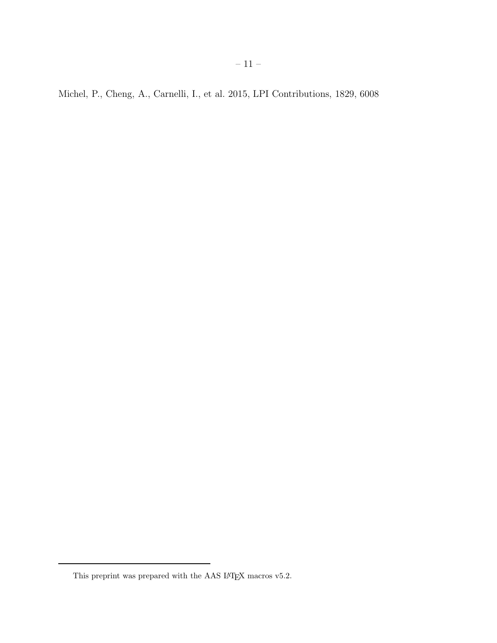Michel, P., Cheng, A., Carnelli, I., et al. 2015, LPI Contributions, 1829, 6008

This preprint was prepared with the AAS  $\rm \emph{L4}$  macros v5.2.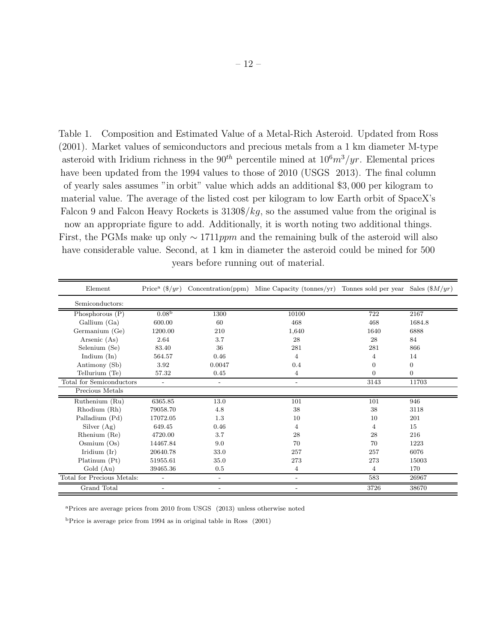Table 1. Composition and Estimated Value of a Metal-Rich Asteroid. Updated from Ross (2001). Market values of semiconductors and precious metals from a 1 km diameter M-type asteroid with Iridium richness in the 90<sup>th</sup> percentile mined at  $10<sup>6</sup>m<sup>3</sup>/yr$ . Elemental prices have been updated from the 1994 values to those of 2010 (USGS 2013). The final column of yearly sales assumes "in orbit" value which adds an additional \$3, 000 per kilogram to material value. The average of the listed cost per kilogram to low Earth orbit of SpaceX's Falcon 9 and Falcon Heavy Rockets is  $3130\frac{8}{kg}$ , so the assumed value from the original is now an appropriate figure to add. Additionally, it is worth noting two additional things. First, the PGMs make up only  $\sim 1711 ppm$  and the remaining bulk of the asteroid will also have considerable value. Second, at 1 km in diameter the asteroid could be mined for 500 years before running out of material.

| Element                    | Price <sup>a</sup> $(\frac{6}{yr})$ |                          | Concentration(ppm) Mine Capacity (tonnes/yr) Tonnes sold per year Sales $(\frac{8M}{yr})$ |                |                  |
|----------------------------|-------------------------------------|--------------------------|-------------------------------------------------------------------------------------------|----------------|------------------|
| Semiconductors:            |                                     |                          |                                                                                           |                |                  |
| Phosphorous $(P)$          | 0.08 <sup>b</sup>                   | 1300                     | 10100                                                                                     | 722            | 2167             |
| Gallium (Ga)               | 600.00                              | 60                       | 468                                                                                       | 468            | 1684.8           |
| Germanium (Ge)             | 1200.00                             | 210                      | 1,640                                                                                     | 1640           | 6888             |
| Arsenic (As)               | 2.64                                | 3.7                      | 28                                                                                        | 28             | 84               |
| Selenium (Se)              | 83.40                               | 36                       | 281                                                                                       | 281            | 866              |
| Indium $(In)$              | 564.57                              | 0.46                     | 4                                                                                         | 4              | 14               |
| Antimony (Sb)              | 3.92                                | 0.0047                   | 0.4                                                                                       | $\Omega$       | $\boldsymbol{0}$ |
| Tellurium (Te)             | 57.32                               | 0.45                     | 4                                                                                         | $\Omega$       | $\boldsymbol{0}$ |
| Total for Semiconductors   | $\overline{a}$                      | $\overline{\phantom{a}}$ | $\overline{\phantom{a}}$                                                                  | 3143           | 11703            |
| Precious Metals            |                                     |                          |                                                                                           |                |                  |
| Ruthenium (Ru)             | 6365.85                             | 13.0                     | 101                                                                                       | 101            | 946              |
| Rhodium (Rh)               | 79058.70                            | 4.8                      | 38                                                                                        | 38             | 3118             |
| Palladium (Pd)             | 17072.05                            | 1.3                      | 10                                                                                        | 10             | 201              |
| Silver (Ag)                | 649.45                              | 0.46                     | 4                                                                                         | $\overline{4}$ | 15               |
| Rhenium (Re)               | 4720.00                             | 3.7                      | 28                                                                                        | 28             | 216              |
| Osmium $(Os)$              | 14467.84                            | 9.0                      | 70                                                                                        | 70             | 1223             |
| Iridium $(Ir)$             | 20640.78                            | 33.0                     | 257                                                                                       | 257            | 6076             |
| Platinum (Pt)              | 51955.61                            | 35.0                     | 273                                                                                       | 273            | 15003            |
| Gold (Au)                  | 39465.36                            | 0.5                      | $\overline{4}$                                                                            | $\overline{4}$ | 170              |
| Total for Precious Metals: |                                     | $\overline{\phantom{a}}$ |                                                                                           | 583            | 26967            |
| Grand Total                |                                     |                          |                                                                                           | 3726           | 38670            |

<sup>a</sup>Prices are average prices from 2010 from USGS (2013) unless otherwise noted

<sup>b</sup>Price is average price from 1994 as in original table in Ross (2001)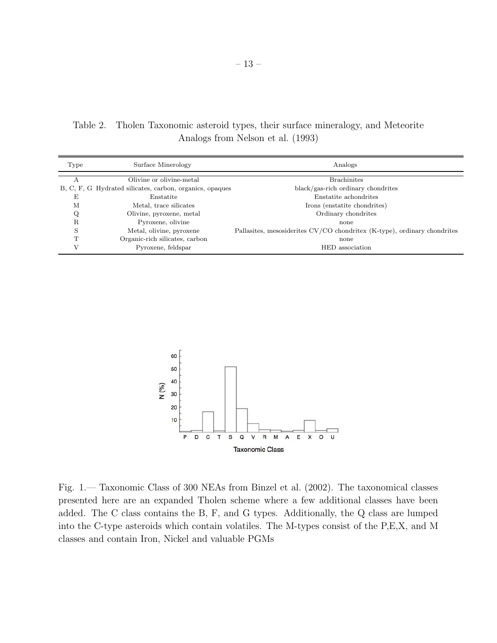Table 2. Tholen Taxonomic asteroid types, their surface mineralogy, and Meteorite Analogs from Nelson et al. (1993)

| Type         | Surface Minerology                                       | Analogs                                                                  |  |
|--------------|----------------------------------------------------------|--------------------------------------------------------------------------|--|
|              | Olivine or olivine-metal                                 | <b>Brachinites</b>                                                       |  |
|              | B, C, F, G Hydrated silicates, carbon, organics, opaques | black/gas-rich ordinary chondrites                                       |  |
| Ε            | Enstatite                                                | Enstatite achondrites                                                    |  |
| М            | Metal, trace silicates                                   | Irons (enstatite chondrites)                                             |  |
| Q            | Olivine, pyroxene, metal                                 | Ordinary chondrites                                                      |  |
| R            | Pyroxene, olivine                                        | none                                                                     |  |
| S            | Metal, olivine, pyroxene                                 | Pallasites, mesosiderites CV/CO chondritex (K-type), ordinary chondrites |  |
| $\mathbf{T}$ | Organic-rich silicates, carbon                           | none                                                                     |  |
|              | Pyroxene, feldspar                                       | HED association                                                          |  |
|              |                                                          |                                                                          |  |



Fig. 1.— Taxonomic Class of 300 NEAs from Binzel et al. (2002). The taxonomical classes presented here are an expanded Tholen scheme where a few additional classes have been added. The C class contains the B, F, and G types. Additionally, the Q class are lumped into the C-type asteroids which contain volatiles. The M-types consist of the P,E,X, and M classes and contain Iron, Nickel and valuable PGMs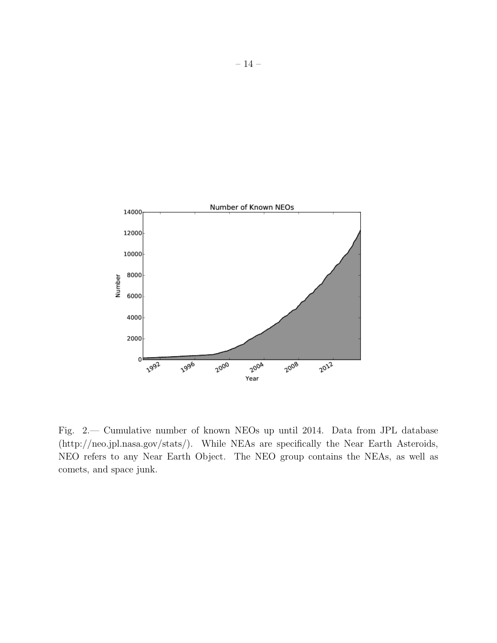

Fig. 2.— Cumulative number of known NEOs up until 2014. Data from JPL database (http://neo.jpl.nasa.gov/stats/). While NEAs are specifically the Near Earth Asteroids, NEO refers to any Near Earth Object. The NEO group contains the NEAs, as well as comets, and space junk.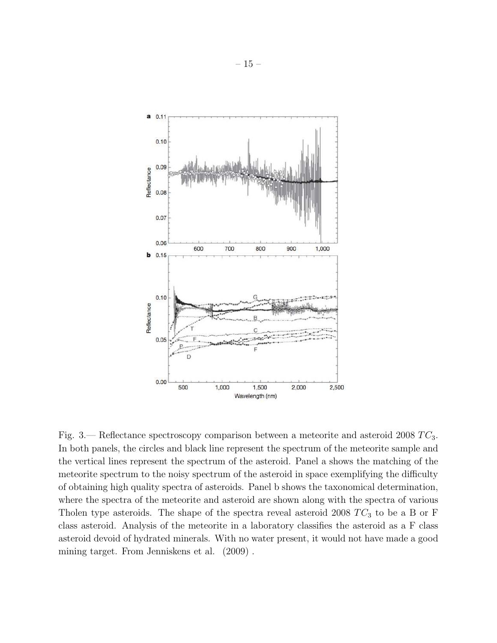

Fig. 3.— Reflectance spectroscopy comparison between a meteorite and asteroid 2008  $TC_3$ . In both panels, the circles and black line represent the spectrum of the meteorite sample and the vertical lines represent the spectrum of the asteroid. Panel a shows the matching of the meteorite spectrum to the noisy spectrum of the asteroid in space exemplifying the difficulty of obtaining high quality spectra of asteroids. Panel b shows the taxonomical determination, where the spectra of the meteorite and asteroid are shown along with the spectra of various Tholen type asteroids. The shape of the spectra reveal asteroid 2008  $TC_3$  to be a B or F class asteroid. Analysis of the meteorite in a laboratory classifies the asteroid as a F class asteroid devoid of hydrated minerals. With no water present, it would not have made a good mining target. From Jenniskens et al. (2009) .